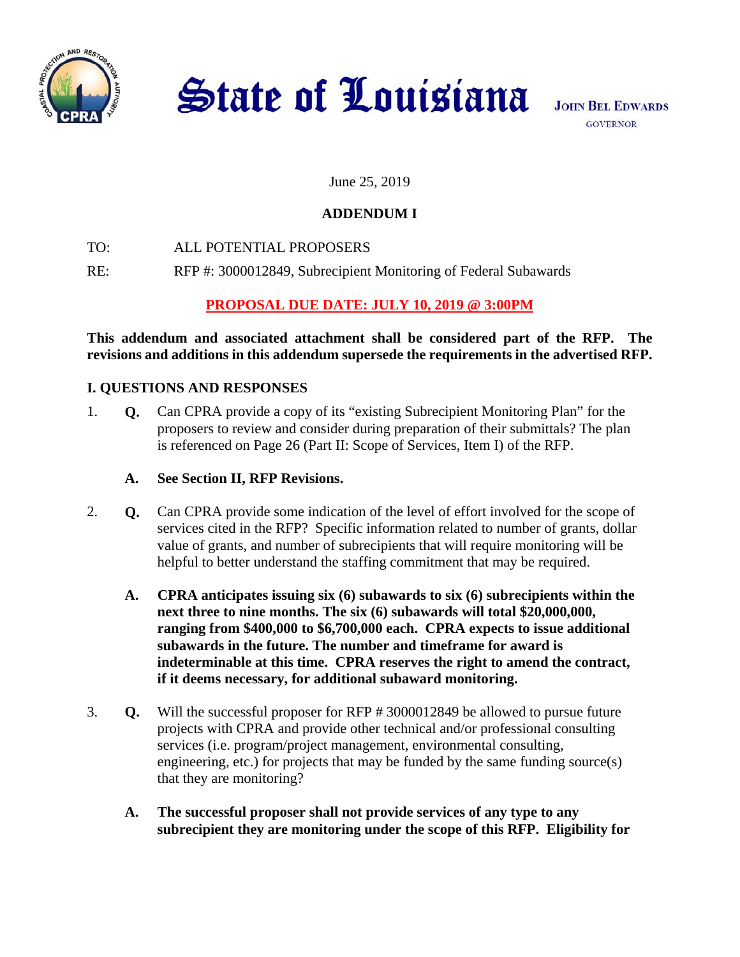

**State of Louisiana** 

# June 25, 2019

# **ADDENDUM I**

TO: ALL POTENTIAL PROPOSERS

RE: RFP #: 3000012849, Subrecipient Monitoring of Federal Subawards

# **PROPOSAL DUE DATE: JULY 10, 2019 @ 3:00PM**

**This addendum and associated attachment shall be considered part of the RFP. The revisions and additions in this addendum supersede the requirements in the advertised RFP.** 

# **I. QUESTIONS AND RESPONSES**

- 1. **Q.** Can CPRA provide a copy of its "existing Subrecipient Monitoring Plan" for the proposers to review and consider during preparation of their submittals? The plan is referenced on Page 26 (Part II: Scope of Services, Item I) of the RFP.
	- **A. See Section II, RFP Revisions.**
- 2. **Q.** Can CPRA provide some indication of the level of effort involved for the scope of services cited in the RFP? Specific information related to number of grants, dollar value of grants, and number of subrecipients that will require monitoring will be helpful to better understand the staffing commitment that may be required.
	- **A. CPRA anticipates issuing six (6) subawards to six (6) subrecipients within the next three to nine months. The six (6) subawards will total \$20,000,000, ranging from \$400,000 to \$6,700,000 each. CPRA expects to issue additional subawards in the future. The number and timeframe for award is indeterminable at this time. CPRA reserves the right to amend the contract, if it deems necessary, for additional subaward monitoring.**
- 3. **Q.** Will the successful proposer for RFP # 3000012849 be allowed to pursue future projects with CPRA and provide other technical and/or professional consulting services (i.e. program/project management, environmental consulting, engineering, etc.) for projects that may be funded by the same funding source(s) that they are monitoring?
	- **A. The successful proposer shall not provide services of any type to any subrecipient they are monitoring under the scope of this RFP. Eligibility for**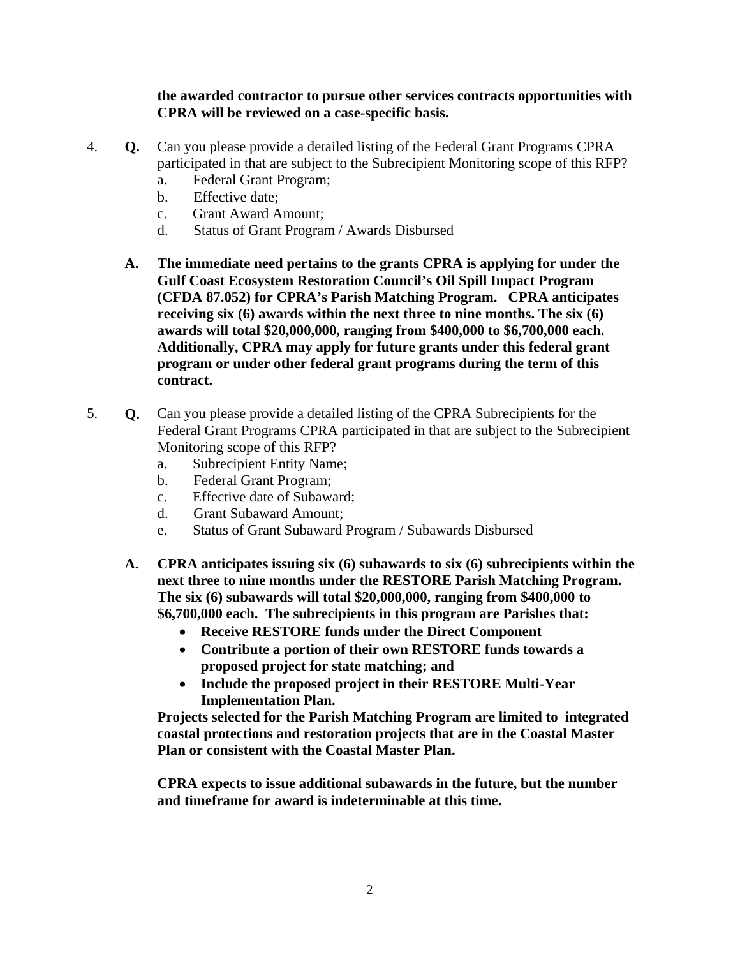**the awarded contractor to pursue other services contracts opportunities with CPRA will be reviewed on a case-specific basis.** 

- 4. **Q.** Can you please provide a detailed listing of the Federal Grant Programs CPRA participated in that are subject to the Subrecipient Monitoring scope of this RFP?
	- a. Federal Grant Program;
	- b. Effective date;
	- c. Grant Award Amount;
	- d. Status of Grant Program / Awards Disbursed
	- **A. The immediate need pertains to the grants CPRA is applying for under the Gulf Coast Ecosystem Restoration Council's Oil Spill Impact Program (CFDA 87.052) for CPRA's Parish Matching Program. CPRA anticipates receiving six (6) awards within the next three to nine months. The six (6) awards will total \$20,000,000, ranging from \$400,000 to \$6,700,000 each. Additionally, CPRA may apply for future grants under this federal grant program or under other federal grant programs during the term of this contract.**
- 5. **Q.** Can you please provide a detailed listing of the CPRA Subrecipients for the Federal Grant Programs CPRA participated in that are subject to the Subrecipient Monitoring scope of this RFP?
	- a. Subrecipient Entity Name;
	- b. Federal Grant Program;
	- c. Effective date of Subaward;
	- d. Grant Subaward Amount;
	- e. Status of Grant Subaward Program / Subawards Disbursed
	- **A. CPRA anticipates issuing six (6) subawards to six (6) subrecipients within the next three to nine months under the RESTORE Parish Matching Program. The six (6) subawards will total \$20,000,000, ranging from \$400,000 to \$6,700,000 each. The subrecipients in this program are Parishes that:** 
		- **Receive RESTORE funds under the Direct Component**
		- **Contribute a portion of their own RESTORE funds towards a proposed project for state matching; and**
		- **Include the proposed project in their RESTORE Multi-Year Implementation Plan.**

**Projects selected for the Parish Matching Program are limited to integrated coastal protections and restoration projects that are in the Coastal Master Plan or consistent with the Coastal Master Plan.** 

**CPRA expects to issue additional subawards in the future, but the number and timeframe for award is indeterminable at this time.**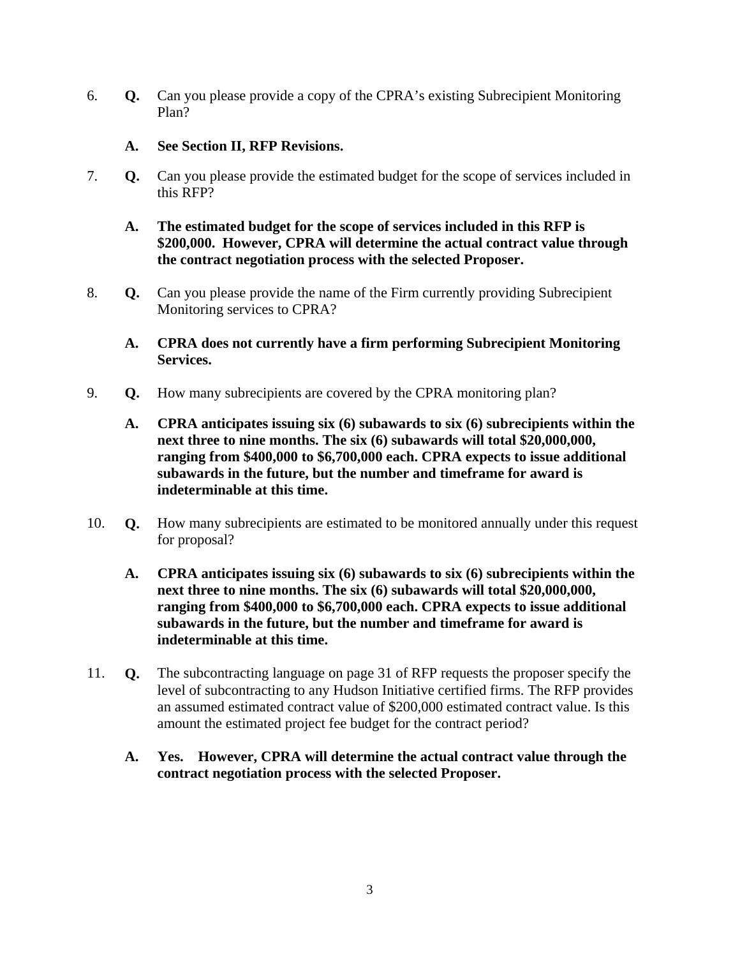6. **Q.** Can you please provide a copy of the CPRA's existing Subrecipient Monitoring Plan?

### **A. See Section II, RFP Revisions.**

- 7. **Q.** Can you please provide the estimated budget for the scope of services included in this RFP?
	- **A. The estimated budget for the scope of services included in this RFP is \$200,000. However, CPRA will determine the actual contract value through the contract negotiation process with the selected Proposer.**
- 8. **Q.** Can you please provide the name of the Firm currently providing Subrecipient Monitoring services to CPRA?
	- **A. CPRA does not currently have a firm performing Subrecipient Monitoring Services.**
- 9. **Q.** How many subrecipients are covered by the CPRA monitoring plan?
	- **A. CPRA anticipates issuing six (6) subawards to six (6) subrecipients within the next three to nine months. The six (6) subawards will total \$20,000,000, ranging from \$400,000 to \$6,700,000 each. CPRA expects to issue additional subawards in the future, but the number and timeframe for award is indeterminable at this time.**
- 10. **Q.** How many subrecipients are estimated to be monitored annually under this request for proposal?
	- **A. CPRA anticipates issuing six (6) subawards to six (6) subrecipients within the next three to nine months. The six (6) subawards will total \$20,000,000, ranging from \$400,000 to \$6,700,000 each. CPRA expects to issue additional subawards in the future, but the number and timeframe for award is indeterminable at this time.**
- 11. **Q.** The subcontracting language on page 31 of RFP requests the proposer specify the level of subcontracting to any Hudson Initiative certified firms. The RFP provides an assumed estimated contract value of \$200,000 estimated contract value. Is this amount the estimated project fee budget for the contract period?
	- **A. Yes. However, CPRA will determine the actual contract value through the contract negotiation process with the selected Proposer.**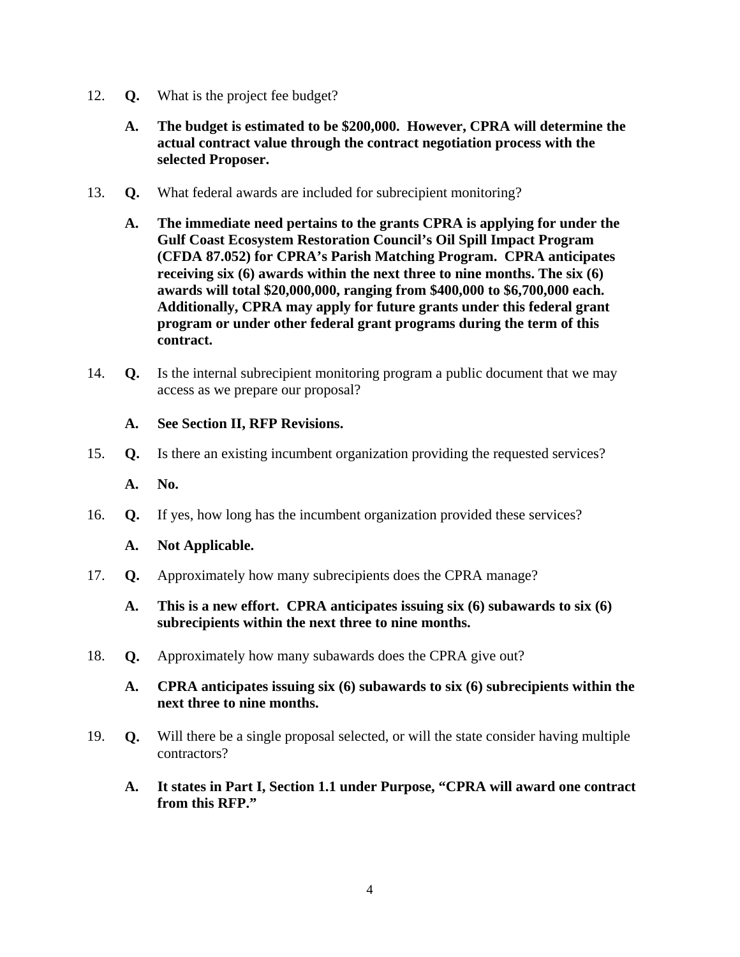- 12. **Q.** What is the project fee budget?
	- **A. The budget is estimated to be \$200,000. However, CPRA will determine the actual contract value through the contract negotiation process with the selected Proposer.**
- 13. **Q.** What federal awards are included for subrecipient monitoring?
	- **A. The immediate need pertains to the grants CPRA is applying for under the Gulf Coast Ecosystem Restoration Council's Oil Spill Impact Program (CFDA 87.052) for CPRA's Parish Matching Program. CPRA anticipates receiving six (6) awards within the next three to nine months. The six (6) awards will total \$20,000,000, ranging from \$400,000 to \$6,700,000 each. Additionally, CPRA may apply for future grants under this federal grant program or under other federal grant programs during the term of this contract.**
- 14. **Q.** Is the internal subrecipient monitoring program a public document that we may access as we prepare our proposal?

#### **A. See Section II, RFP Revisions.**

15. **Q.** Is there an existing incumbent organization providing the requested services?

**A. No.** 

16. **Q.** If yes, how long has the incumbent organization provided these services?

#### **A. Not Applicable.**

- 17. **Q.** Approximately how many subrecipients does the CPRA manage?
	- **A. This is a new effort. CPRA anticipates issuing six (6) subawards to six (6) subrecipients within the next three to nine months.**
- 18. **Q.** Approximately how many subawards does the CPRA give out?
	- **A. CPRA anticipates issuing six (6) subawards to six (6) subrecipients within the next three to nine months.**
- 19. **Q.** Will there be a single proposal selected, or will the state consider having multiple contractors?
	- **A. It states in Part I, Section 1.1 under Purpose, "CPRA will award one contract from this RFP."**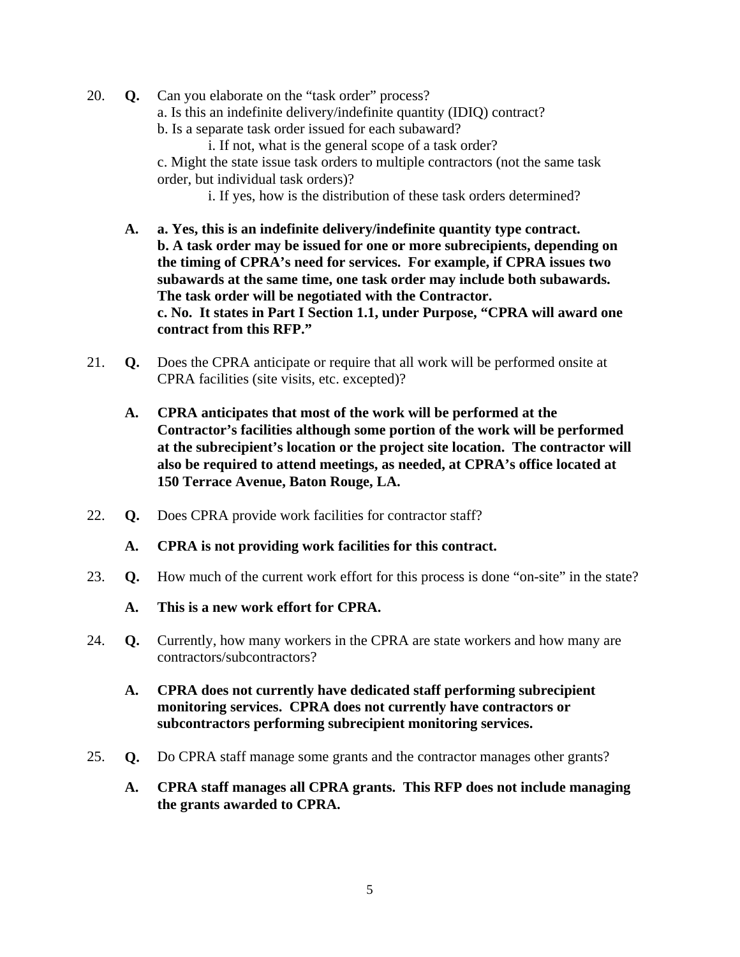- 20. **Q.** Can you elaborate on the "task order" process? a. Is this an indefinite delivery/indefinite quantity (IDIQ) contract? b. Is a separate task order issued for each subaward? i. If not, what is the general scope of a task order? c. Might the state issue task orders to multiple contractors (not the same task order, but individual task orders)? i. If yes, how is the distribution of these task orders determined?
	- **A. a. Yes, this is an indefinite delivery/indefinite quantity type contract. b. A task order may be issued for one or more subrecipients, depending on the timing of CPRA's need for services. For example, if CPRA issues two subawards at the same time, one task order may include both subawards. The task order will be negotiated with the Contractor. c. No. It states in Part I Section 1.1, under Purpose, "CPRA will award one contract from this RFP."**
- 21. **Q.** Does the CPRA anticipate or require that all work will be performed onsite at CPRA facilities (site visits, etc. excepted)?
	- **A. CPRA anticipates that most of the work will be performed at the Contractor's facilities although some portion of the work will be performed at the subrecipient's location or the project site location. The contractor will also be required to attend meetings, as needed, at CPRA's office located at 150 Terrace Avenue, Baton Rouge, LA.**
- 22. **Q.** Does CPRA provide work facilities for contractor staff?
	- **A. CPRA is not providing work facilities for this contract.**
- 23. **Q.** How much of the current work effort for this process is done "on-site" in the state?
	- **A. This is a new work effort for CPRA.**
- 24. **Q.** Currently, how many workers in the CPRA are state workers and how many are contractors/subcontractors?
	- **A. CPRA does not currently have dedicated staff performing subrecipient monitoring services. CPRA does not currently have contractors or subcontractors performing subrecipient monitoring services.**
- 25. **Q.** Do CPRA staff manage some grants and the contractor manages other grants?
	- **A. CPRA staff manages all CPRA grants. This RFP does not include managing the grants awarded to CPRA.**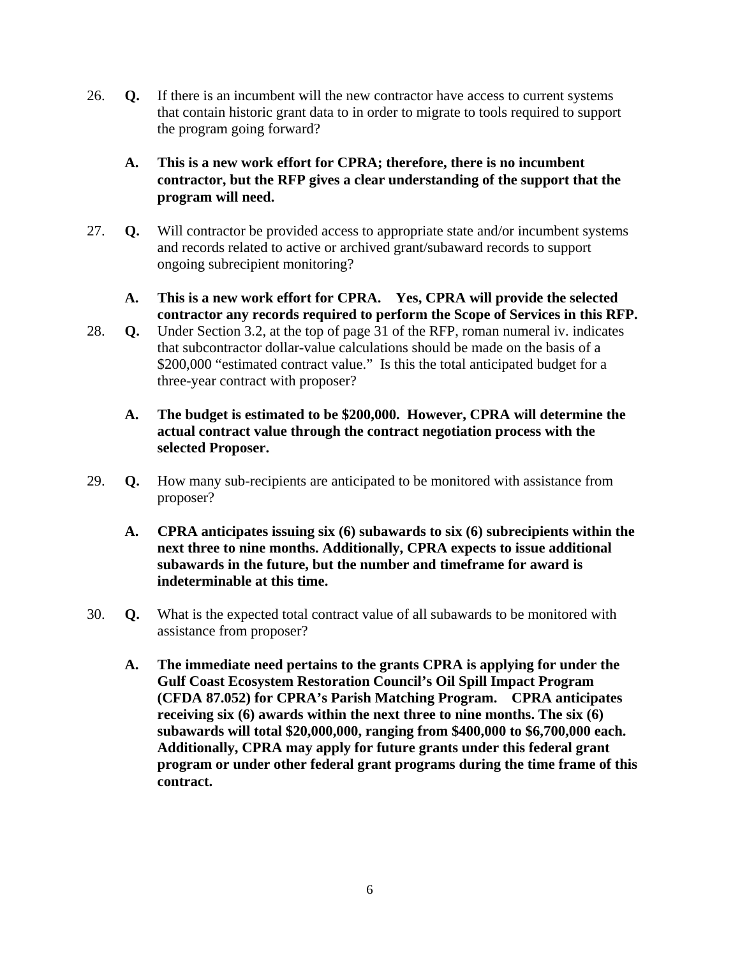- 26. **Q.** If there is an incumbent will the new contractor have access to current systems that contain historic grant data to in order to migrate to tools required to support the program going forward?
	- **A. This is a new work effort for CPRA; therefore, there is no incumbent contractor, but the RFP gives a clear understanding of the support that the program will need.**
- 27. **Q.** Will contractor be provided access to appropriate state and/or incumbent systems and records related to active or archived grant/subaward records to support ongoing subrecipient monitoring?
	- **A. This is a new work effort for CPRA. Yes, CPRA will provide the selected contractor any records required to perform the Scope of Services in this RFP.**
- 28. **Q.** Under Section 3.2, at the top of page 31 of the RFP, roman numeral iv. indicates that subcontractor dollar-value calculations should be made on the basis of a \$200,000 "estimated contract value." Is this the total anticipated budget for a three-year contract with proposer?
	- **A. The budget is estimated to be \$200,000. However, CPRA will determine the actual contract value through the contract negotiation process with the selected Proposer.**
- 29. **Q.** How many sub-recipients are anticipated to be monitored with assistance from proposer?
	- **A. CPRA anticipates issuing six (6) subawards to six (6) subrecipients within the next three to nine months. Additionally, CPRA expects to issue additional subawards in the future, but the number and timeframe for award is indeterminable at this time.**
- 30. **Q.** What is the expected total contract value of all subawards to be monitored with assistance from proposer?
	- **A. The immediate need pertains to the grants CPRA is applying for under the Gulf Coast Ecosystem Restoration Council's Oil Spill Impact Program (CFDA 87.052) for CPRA's Parish Matching Program. CPRA anticipates receiving six (6) awards within the next three to nine months. The six (6) subawards will total \$20,000,000, ranging from \$400,000 to \$6,700,000 each. Additionally, CPRA may apply for future grants under this federal grant program or under other federal grant programs during the time frame of this contract.**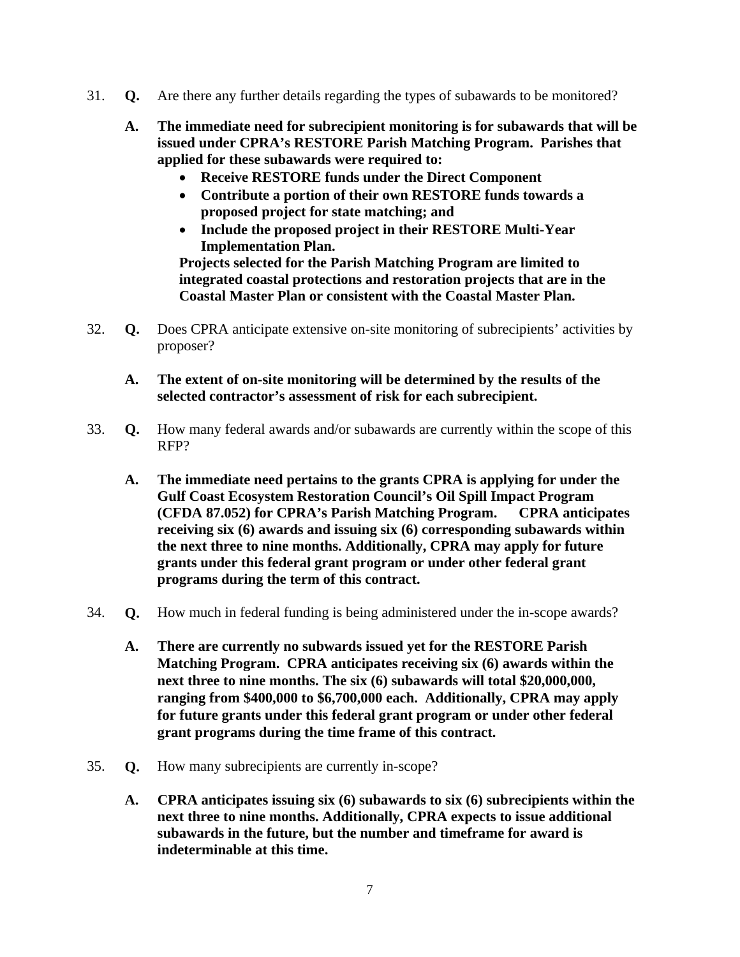- 31. **Q.** Are there any further details regarding the types of subawards to be monitored?
	- **A. The immediate need for subrecipient monitoring is for subawards that will be issued under CPRA's RESTORE Parish Matching Program. Parishes that applied for these subawards were required to:** 
		- **Receive RESTORE funds under the Direct Component**
		- **Contribute a portion of their own RESTORE funds towards a proposed project for state matching; and**
		- **Include the proposed project in their RESTORE Multi-Year Implementation Plan.**

**Projects selected for the Parish Matching Program are limited to integrated coastal protections and restoration projects that are in the Coastal Master Plan or consistent with the Coastal Master Plan.** 

- 32. **Q.** Does CPRA anticipate extensive on-site monitoring of subrecipients' activities by proposer?
	- **A. The extent of on-site monitoring will be determined by the results of the selected contractor's assessment of risk for each subrecipient.**
- 33. **Q.** How many federal awards and/or subawards are currently within the scope of this RFP?
	- **A. The immediate need pertains to the grants CPRA is applying for under the Gulf Coast Ecosystem Restoration Council's Oil Spill Impact Program (CFDA 87.052) for CPRA's Parish Matching Program. CPRA anticipates receiving six (6) awards and issuing six (6) corresponding subawards within the next three to nine months. Additionally, CPRA may apply for future grants under this federal grant program or under other federal grant programs during the term of this contract.**
- 34. **Q.** How much in federal funding is being administered under the in-scope awards?
	- **A. There are currently no subwards issued yet for the RESTORE Parish Matching Program. CPRA anticipates receiving six (6) awards within the next three to nine months. The six (6) subawards will total \$20,000,000, ranging from \$400,000 to \$6,700,000 each. Additionally, CPRA may apply for future grants under this federal grant program or under other federal grant programs during the time frame of this contract.**
- 35. **Q.** How many subrecipients are currently in-scope?
	- **A. CPRA anticipates issuing six (6) subawards to six (6) subrecipients within the next three to nine months. Additionally, CPRA expects to issue additional subawards in the future, but the number and timeframe for award is indeterminable at this time.**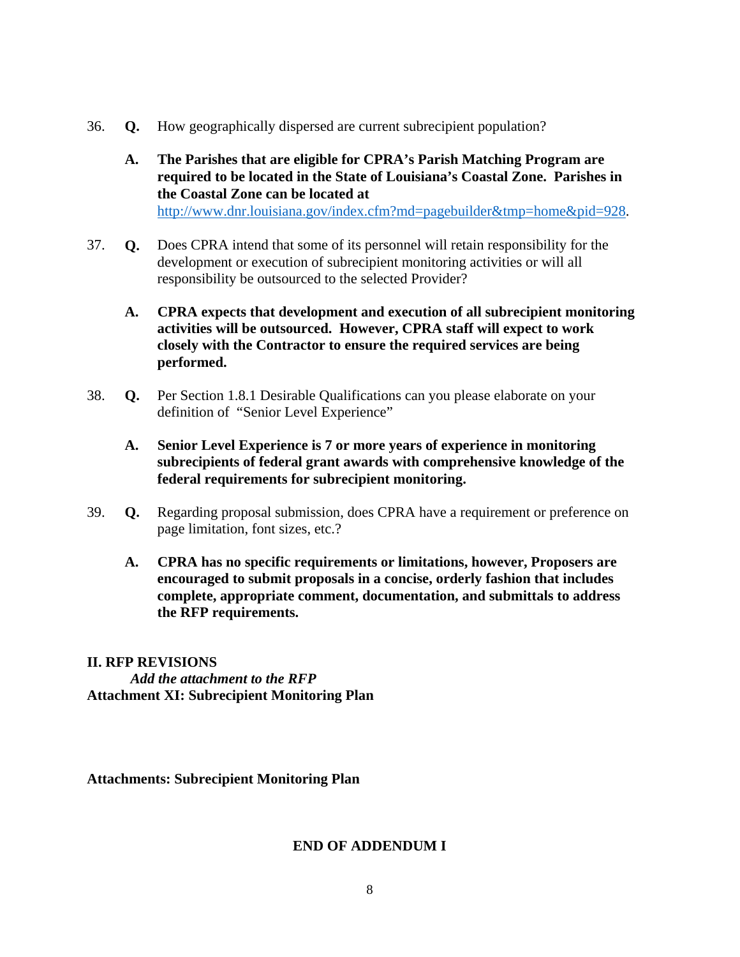- 36. **Q.** How geographically dispersed are current subrecipient population?
	- **A. The Parishes that are eligible for CPRA's Parish Matching Program are required to be located in the State of Louisiana's Coastal Zone. Parishes in the Coastal Zone can be located at**  http://www.dnr.louisiana.gov/index.cfm?md=pagebuilder&tmp=home&pid=928.
- 37. **Q.** Does CPRA intend that some of its personnel will retain responsibility for the development or execution of subrecipient monitoring activities or will all responsibility be outsourced to the selected Provider?
	- **A. CPRA expects that development and execution of all subrecipient monitoring activities will be outsourced. However, CPRA staff will expect to work closely with the Contractor to ensure the required services are being performed.**
- 38. **Q.** Per Section 1.8.1 Desirable Qualifications can you please elaborate on your definition of "Senior Level Experience"
	- **A. Senior Level Experience is 7 or more years of experience in monitoring subrecipients of federal grant awards with comprehensive knowledge of the federal requirements for subrecipient monitoring.**
- 39. **Q.** Regarding proposal submission, does CPRA have a requirement or preference on page limitation, font sizes, etc.?
	- **A. CPRA has no specific requirements or limitations, however, Proposers are encouraged to submit proposals in a concise, orderly fashion that includes complete, appropriate comment, documentation, and submittals to address the RFP requirements.**

# **II. RFP REVISIONS**  *Add the attachment to the RFP*  **Attachment XI: Subrecipient Monitoring Plan**

**Attachments: Subrecipient Monitoring Plan** 

#### **END OF ADDENDUM I**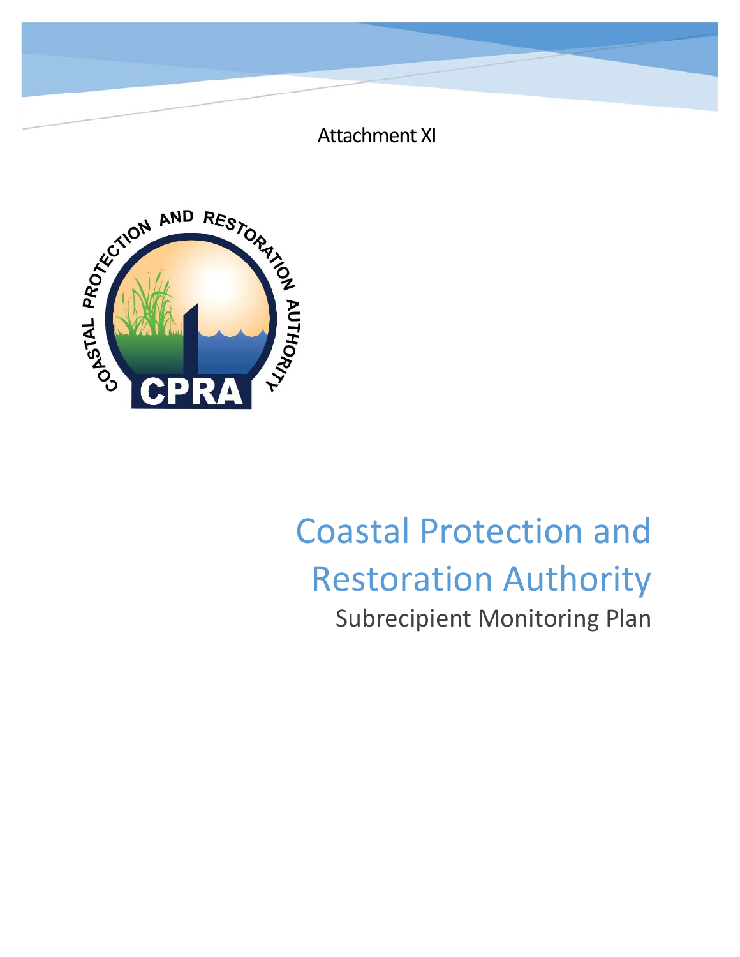

CON AND RESTORY

# Coastal Protection and Restoration Authority Subrecipient Monitoring Plan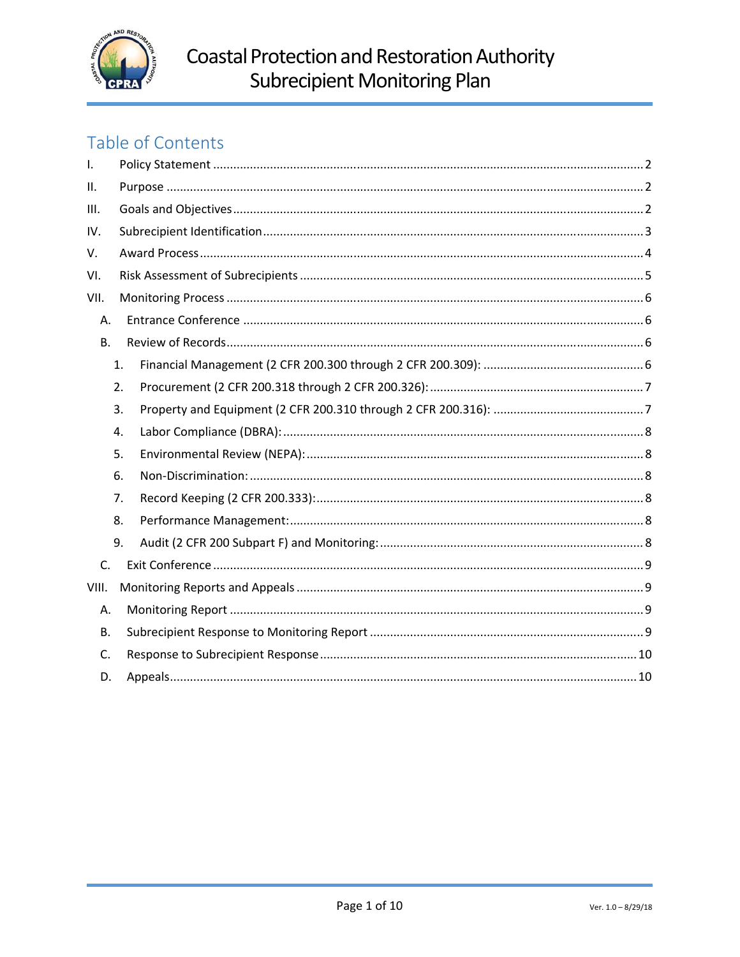

# Table of Contents

| $\mathbf{I}$ . |    |  |  |  |
|----------------|----|--|--|--|
| Ш.             |    |  |  |  |
| III.           |    |  |  |  |
| IV.            |    |  |  |  |
| V.             |    |  |  |  |
| VI.            |    |  |  |  |
| VII.           |    |  |  |  |
| А.             |    |  |  |  |
| <b>B.</b>      |    |  |  |  |
|                | 1. |  |  |  |
|                | 2. |  |  |  |
|                | 3. |  |  |  |
|                | 4. |  |  |  |
|                | 5. |  |  |  |
|                | 6. |  |  |  |
|                | 7. |  |  |  |
|                | 8. |  |  |  |
|                | 9. |  |  |  |
| C.             |    |  |  |  |
| VIII.          |    |  |  |  |
| А.             |    |  |  |  |
| <b>B.</b>      |    |  |  |  |
| C.             |    |  |  |  |
| D.             |    |  |  |  |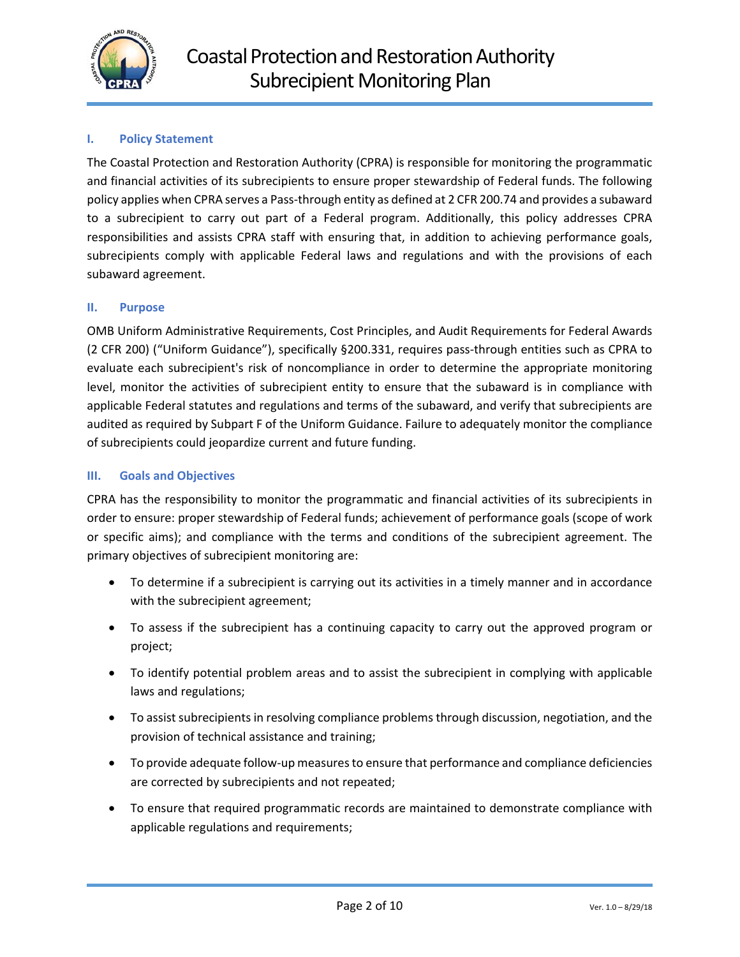

#### **I. Policy Statement**

The Coastal Protection and Restoration Authority (CPRA) is responsible for monitoring the programmatic and financial activities of its subrecipients to ensure proper stewardship of Federal funds. The following policy applies when CPRA serves a Pass‐through entity as defined at 2 CFR 200.74 and provides a subaward to a subrecipient to carry out part of a Federal program. Additionally, this policy addresses CPRA responsibilities and assists CPRA staff with ensuring that, in addition to achieving performance goals, subrecipients comply with applicable Federal laws and regulations and with the provisions of each subaward agreement.

#### **II. Purpose**

OMB Uniform Administrative Requirements, Cost Principles, and Audit Requirements for Federal Awards (2 CFR 200) ("Uniform Guidance"), specifically §200.331, requires pass‐through entities such as CPRA to evaluate each subrecipient's risk of noncompliance in order to determine the appropriate monitoring level, monitor the activities of subrecipient entity to ensure that the subaward is in compliance with applicable Federal statutes and regulations and terms of the subaward, and verify that subrecipients are audited as required by Subpart F of the Uniform Guidance. Failure to adequately monitor the compliance of subrecipients could jeopardize current and future funding.

#### **III. Goals and Objectives**

CPRA has the responsibility to monitor the programmatic and financial activities of its subrecipients in order to ensure: proper stewardship of Federal funds; achievement of performance goals (scope of work or specific aims); and compliance with the terms and conditions of the subrecipient agreement. The primary objectives of subrecipient monitoring are:

- To determine if a subrecipient is carrying out its activities in a timely manner and in accordance with the subrecipient agreement;
- To assess if the subrecipient has a continuing capacity to carry out the approved program or project;
- To identify potential problem areas and to assist the subrecipient in complying with applicable laws and regulations;
- To assist subrecipients in resolving compliance problems through discussion, negotiation, and the provision of technical assistance and training;
- To provide adequate follow-up measures to ensure that performance and compliance deficiencies are corrected by subrecipients and not repeated;
- To ensure that required programmatic records are maintained to demonstrate compliance with applicable regulations and requirements;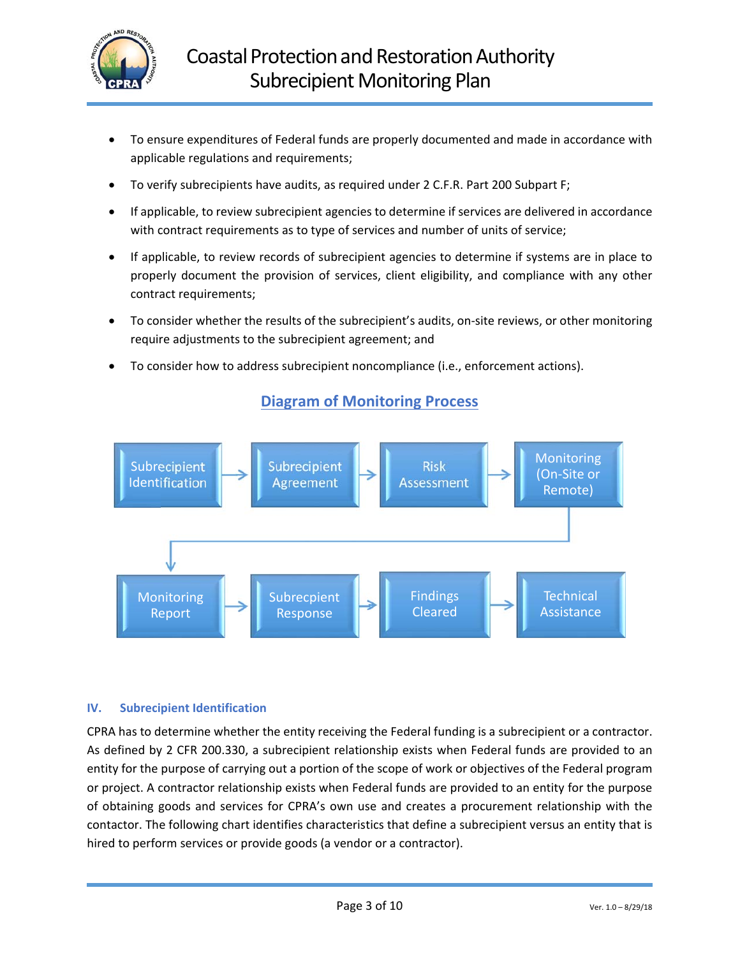

- To ensure expenditures of Federal funds are properly documented and made in accordance with applicable regulations and requirements;
- To verify subrecipients have audits, as required under 2 C.F.R. Part 200 Subpart F;
- If applicable, to review subrecipient agencies to determine if services are delivered in accordance with contract requirements as to type of services and number of units of service;
- If applicable, to review records of subrecipient agencies to determine if systems are in place to properly document the provision of services, client eligibility, and compliance with any other contract requirements;
- To consider whether the results of the subrecipient's audits, on‐site reviews, or other monitoring require adjustments to the subrecipient agreement; and
- To consider how to address subrecipient noncompliance (i.e., enforcement actions).



# **Diagram of Monitoring Process**

#### **IV. Subrecipient Identification**

CPRA has to determine whether the entity receiving the Federal funding is a subrecipient or a contractor. As defined by 2 CFR 200.330, a subrecipient relationship exists when Federal funds are provided to an entity for the purpose of carrying out a portion of the scope of work or objectives of the Federal program or project. A contractor relationship exists when Federal funds are provided to an entity for the purpose of obtaining goods and services for CPRA's own use and creates a procurement relationship with the contactor. The following chart identifies characteristics that define a subrecipient versus an entity that is hired to perform services or provide goods (a vendor or a contractor).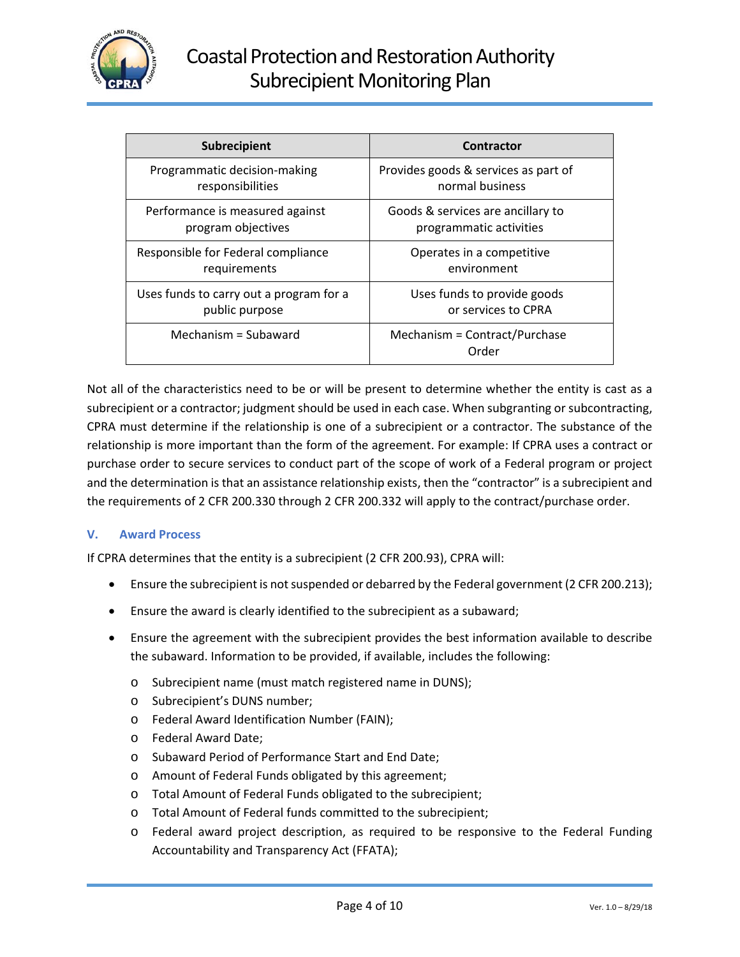

| <b>Subrecipient</b>                     | Contractor                             |
|-----------------------------------------|----------------------------------------|
| Programmatic decision-making            | Provides goods & services as part of   |
| responsibilities                        | normal business                        |
| Performance is measured against         | Goods & services are ancillary to      |
| program objectives                      | programmatic activities                |
| Responsible for Federal compliance      | Operates in a competitive              |
| requirements                            | environment                            |
| Uses funds to carry out a program for a | Uses funds to provide goods            |
| public purpose                          | or services to CPRA                    |
| Mechanism = Subaward                    | Mechanism = Contract/Purchase<br>Order |

Not all of the characteristics need to be or will be present to determine whether the entity is cast as a subrecipient or a contractor; judgment should be used in each case. When subgranting or subcontracting, CPRA must determine if the relationship is one of a subrecipient or a contractor. The substance of the relationship is more important than the form of the agreement. For example: If CPRA uses a contract or purchase order to secure services to conduct part of the scope of work of a Federal program or project and the determination is that an assistance relationship exists, then the "contractor" is a subrecipient and the requirements of 2 CFR 200.330 through 2 CFR 200.332 will apply to the contract/purchase order.

#### **V. Award Process**

If CPRA determines that the entity is a subrecipient (2 CFR 200.93), CPRA will:

- Ensure the subrecipient is not suspended or debarred by the Federal government (2 CFR 200.213);
- Ensure the award is clearly identified to the subrecipient as a subaward;
- Ensure the agreement with the subrecipient provides the best information available to describe the subaward. Information to be provided, if available, includes the following:
	- o Subrecipient name (must match registered name in DUNS);
	- o Subrecipient's DUNS number;
	- o Federal Award Identification Number (FAIN);
	- o Federal Award Date;
	- o Subaward Period of Performance Start and End Date;
	- o Amount of Federal Funds obligated by this agreement;
	- o Total Amount of Federal Funds obligated to the subrecipient;
	- o Total Amount of Federal funds committed to the subrecipient;
	- o Federal award project description, as required to be responsive to the Federal Funding Accountability and Transparency Act (FFATA);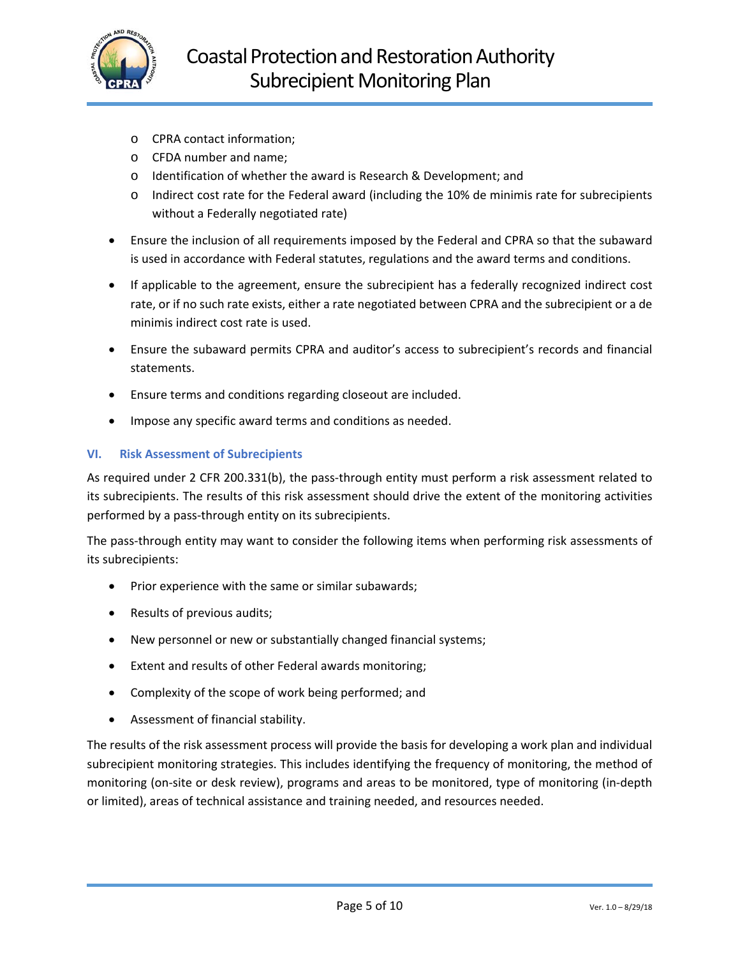

- o CPRA contact information;
- o CFDA number and name;
- o Identification of whether the award is Research & Development; and
- $\circ$  Indirect cost rate for the Federal award (including the 10% de minimis rate for subrecipients without a Federally negotiated rate)
- Ensure the inclusion of all requirements imposed by the Federal and CPRA so that the subaward is used in accordance with Federal statutes, regulations and the award terms and conditions.
- If applicable to the agreement, ensure the subrecipient has a federally recognized indirect cost rate, or if no such rate exists, either a rate negotiated between CPRA and the subrecipient or a de minimis indirect cost rate is used.
- Ensure the subaward permits CPRA and auditor's access to subrecipient's records and financial statements.
- Ensure terms and conditions regarding closeout are included.
- Impose any specific award terms and conditions as needed.

#### **VI. Risk Assessment of Subrecipients**

As required under 2 CFR 200.331(b), the pass-through entity must perform a risk assessment related to its subrecipients. The results of this risk assessment should drive the extent of the monitoring activities performed by a pass‐through entity on its subrecipients.

The pass‐through entity may want to consider the following items when performing risk assessments of its subrecipients:

- Prior experience with the same or similar subawards;
- Results of previous audits;
- New personnel or new or substantially changed financial systems;
- Extent and results of other Federal awards monitoring;
- Complexity of the scope of work being performed; and
- Assessment of financial stability.

The results of the risk assessment process will provide the basis for developing a work plan and individual subrecipient monitoring strategies. This includes identifying the frequency of monitoring, the method of monitoring (on‐site or desk review), programs and areas to be monitored, type of monitoring (in‐depth or limited), areas of technical assistance and training needed, and resources needed.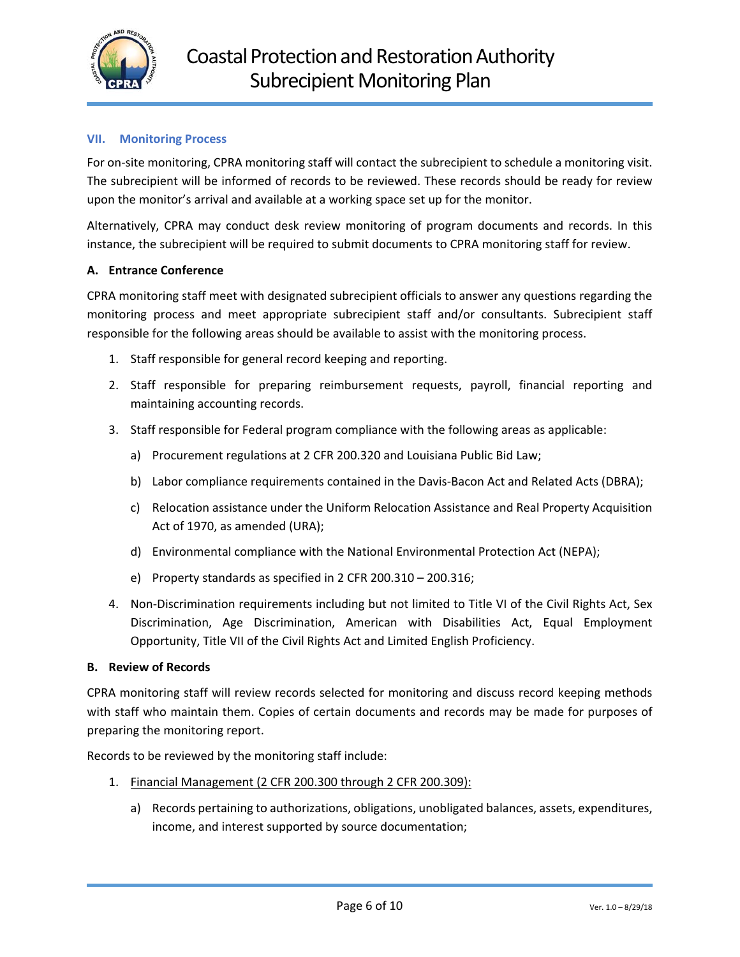

#### **VII. Monitoring Process**

For on-site monitoring, CPRA monitoring staff will contact the subrecipient to schedule a monitoring visit. The subrecipient will be informed of records to be reviewed. These records should be ready for review upon the monitor's arrival and available at a working space set up for the monitor.

Alternatively, CPRA may conduct desk review monitoring of program documents and records. In this instance, the subrecipient will be required to submit documents to CPRA monitoring staff for review.

#### **A. Entrance Conference**

CPRA monitoring staff meet with designated subrecipient officials to answer any questions regarding the monitoring process and meet appropriate subrecipient staff and/or consultants. Subrecipient staff responsible for the following areas should be available to assist with the monitoring process.

- 1. Staff responsible for general record keeping and reporting.
- 2. Staff responsible for preparing reimbursement requests, payroll, financial reporting and maintaining accounting records.
- 3. Staff responsible for Federal program compliance with the following areas as applicable:
	- a) Procurement regulations at 2 CFR 200.320 and Louisiana Public Bid Law;
	- b) Labor compliance requirements contained in the Davis‐Bacon Act and Related Acts (DBRA);
	- c) Relocation assistance under the Uniform Relocation Assistance and Real Property Acquisition Act of 1970, as amended (URA);
	- d) Environmental compliance with the National Environmental Protection Act (NEPA);
	- e) Property standards as specified in 2 CFR 200.310 200.316;
- 4. Non-Discrimination requirements including but not limited to Title VI of the Civil Rights Act, Sex Discrimination, Age Discrimination, American with Disabilities Act, Equal Employment Opportunity, Title VII of the Civil Rights Act and Limited English Proficiency.

#### **B. Review of Records**

CPRA monitoring staff will review records selected for monitoring and discuss record keeping methods with staff who maintain them. Copies of certain documents and records may be made for purposes of preparing the monitoring report.

Records to be reviewed by the monitoring staff include:

- 1. Financial Management (2 CFR 200.300 through 2 CFR 200.309):
	- a) Records pertaining to authorizations, obligations, unobligated balances, assets, expenditures, income, and interest supported by source documentation;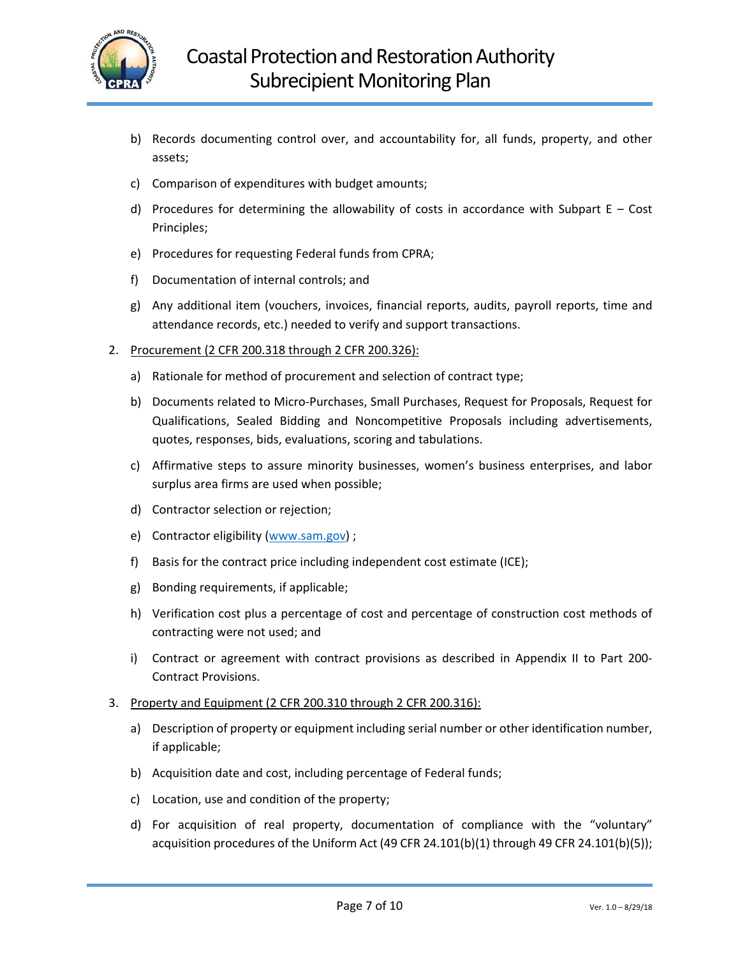

- b) Records documenting control over, and accountability for, all funds, property, and other assets;
- c) Comparison of expenditures with budget amounts;
- d) Procedures for determining the allowability of costs in accordance with Subpart  $E Cost$ Principles;
- e) Procedures for requesting Federal funds from CPRA;
- f) Documentation of internal controls; and
- g) Any additional item (vouchers, invoices, financial reports, audits, payroll reports, time and attendance records, etc.) needed to verify and support transactions.
- 2. Procurement (2 CFR 200.318 through 2 CFR 200.326):
	- a) Rationale for method of procurement and selection of contract type;
	- b) Documents related to Micro‐Purchases, Small Purchases, Request for Proposals, Request for Qualifications, Sealed Bidding and Noncompetitive Proposals including advertisements, quotes, responses, bids, evaluations, scoring and tabulations.
	- c) Affirmative steps to assure minority businesses, women's business enterprises, and labor surplus area firms are used when possible;
	- d) Contractor selection or rejection;
	- e) Contractor eligibility (www.sam.gov) ;
	- f) Basis for the contract price including independent cost estimate (ICE);
	- g) Bonding requirements, if applicable;
	- h) Verification cost plus a percentage of cost and percentage of construction cost methods of contracting were not used; and
	- i) Contract or agreement with contract provisions as described in Appendix II to Part 200-Contract Provisions.
- 3. Property and Equipment (2 CFR 200.310 through 2 CFR 200.316):
	- a) Description of property or equipment including serial number or other identification number, if applicable;
	- b) Acquisition date and cost, including percentage of Federal funds;
	- c) Location, use and condition of the property;
	- d) For acquisition of real property, documentation of compliance with the "voluntary" acquisition procedures of the Uniform Act (49 CFR 24.101(b)(1) through 49 CFR 24.101(b)(5));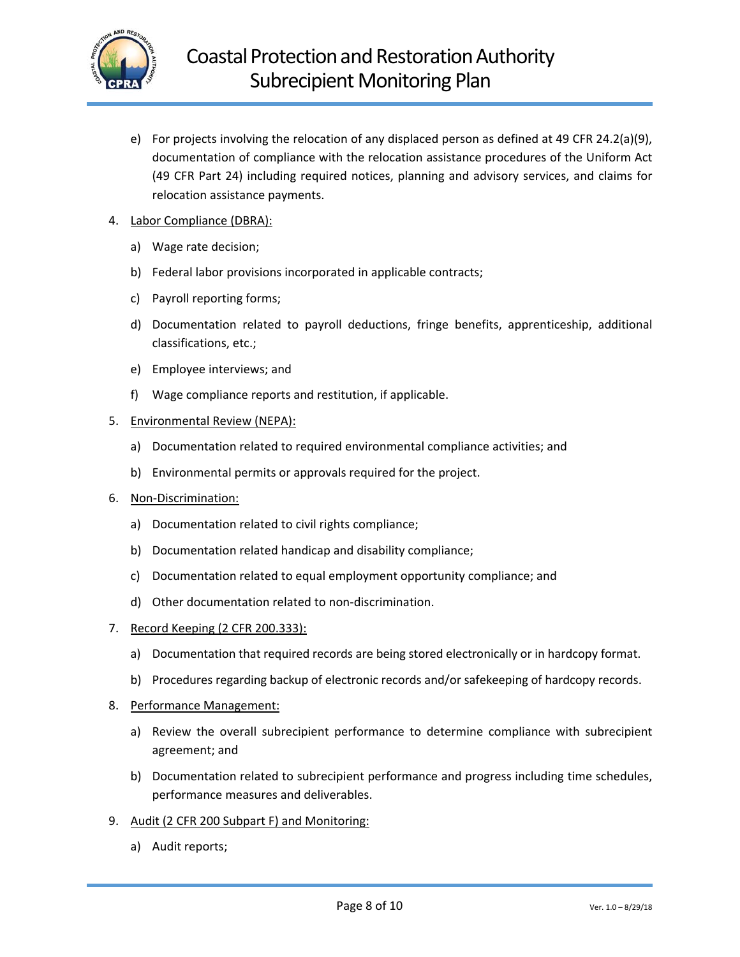

e) For projects involving the relocation of any displaced person as defined at 49 CFR 24.2(a)(9), documentation of compliance with the relocation assistance procedures of the Uniform Act (49 CFR Part 24) including required notices, planning and advisory services, and claims for relocation assistance payments.

#### 4. Labor Compliance (DBRA):

- a) Wage rate decision;
- b) Federal labor provisions incorporated in applicable contracts;
- c) Payroll reporting forms;
- d) Documentation related to payroll deductions, fringe benefits, apprenticeship, additional classifications, etc.;
- e) Employee interviews; and
- f) Wage compliance reports and restitution, if applicable.

#### 5. Environmental Review (NEPA):

- a) Documentation related to required environmental compliance activities; and
- b) Environmental permits or approvals required for the project.
- 6. Non‐Discrimination:
	- a) Documentation related to civil rights compliance;
	- b) Documentation related handicap and disability compliance;
	- c) Documentation related to equal employment opportunity compliance; and
	- d) Other documentation related to non‐discrimination.
- 7. Record Keeping (2 CFR 200.333):
	- a) Documentation that required records are being stored electronically or in hardcopy format.
	- b) Procedures regarding backup of electronic records and/or safekeeping of hardcopy records.
- 8. Performance Management:
	- a) Review the overall subrecipient performance to determine compliance with subrecipient agreement; and
	- b) Documentation related to subrecipient performance and progress including time schedules, performance measures and deliverables.
- 9. Audit (2 CFR 200 Subpart F) and Monitoring:
	- a) Audit reports;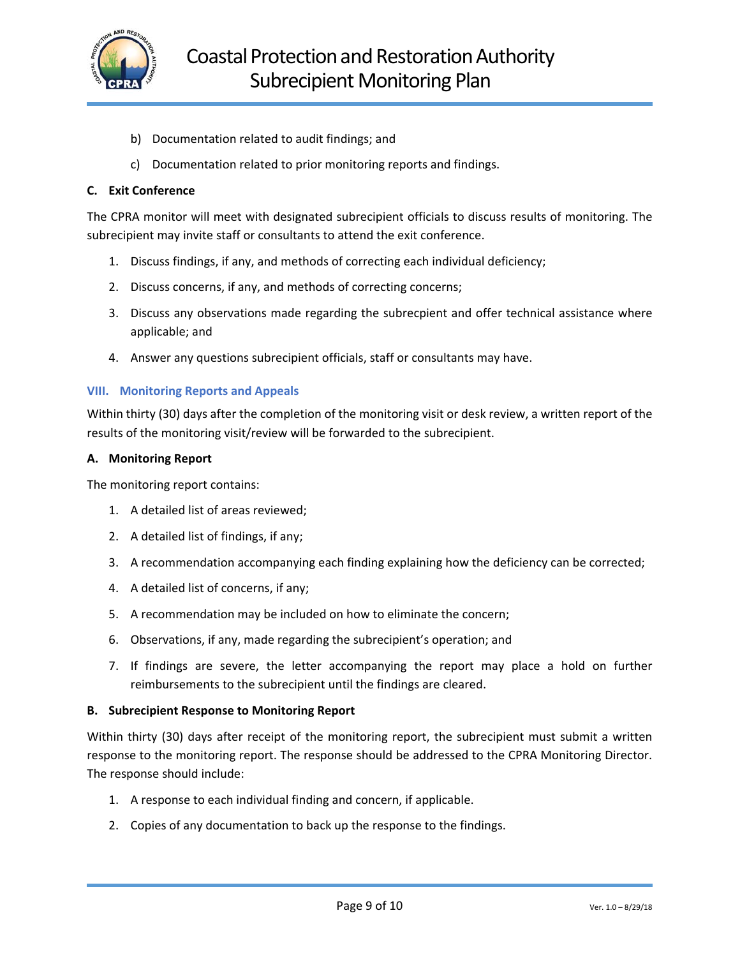

- b) Documentation related to audit findings; and
- c) Documentation related to prior monitoring reports and findings.

#### **C. Exit Conference**

The CPRA monitor will meet with designated subrecipient officials to discuss results of monitoring. The subrecipient may invite staff or consultants to attend the exit conference.

- 1. Discuss findings, if any, and methods of correcting each individual deficiency;
- 2. Discuss concerns, if any, and methods of correcting concerns;
- 3. Discuss any observations made regarding the subrecpient and offer technical assistance where applicable; and
- 4. Answer any questions subrecipient officials, staff or consultants may have.

#### **VIII. Monitoring Reports and Appeals**

Within thirty (30) days after the completion of the monitoring visit or desk review, a written report of the results of the monitoring visit/review will be forwarded to the subrecipient.

#### **A. Monitoring Report**

The monitoring report contains:

- 1. A detailed list of areas reviewed;
- 2. A detailed list of findings, if any;
- 3. A recommendation accompanying each finding explaining how the deficiency can be corrected;
- 4. A detailed list of concerns, if any;
- 5. A recommendation may be included on how to eliminate the concern;
- 6. Observations, if any, made regarding the subrecipient's operation; and
- 7. If findings are severe, the letter accompanying the report may place a hold on further reimbursements to the subrecipient until the findings are cleared.

#### **B. Subrecipient Response to Monitoring Report**

Within thirty (30) days after receipt of the monitoring report, the subrecipient must submit a written response to the monitoring report. The response should be addressed to the CPRA Monitoring Director. The response should include:

- 1. A response to each individual finding and concern, if applicable.
- 2. Copies of any documentation to back up the response to the findings.